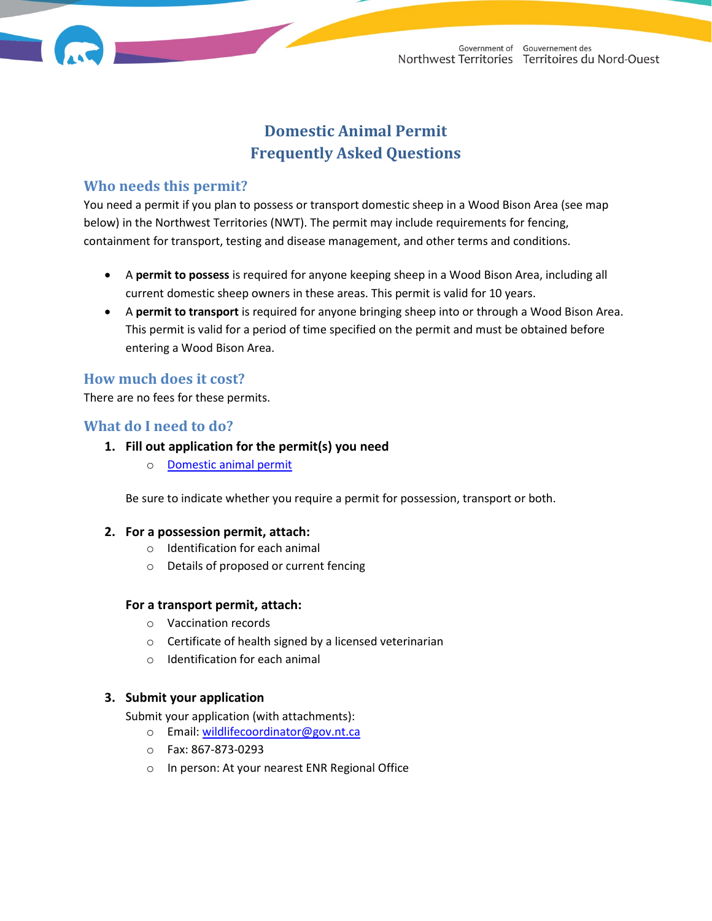# **Domestic Animal Permit Frequently Asked Questions**

### **Who needs this permit?**

You need a permit if you plan to possess or transport domestic sheep in a Wood Bison Area (see map below) in the Northwest Territories (NWT). The permit may include requirements for fencing, containment for transport, testing and disease management, and other terms and conditions.

- A **permit to possess** is required for anyone keeping sheep in a Wood Bison Area, including all current domestic sheep owners in these areas. This permit is valid for 10 years.
- A **permit to transport** is required for anyone bringing sheep into or through a Wood Bison Area. This permit is valid for a period of time specified on the permit and must be obtained before entering a Wood Bison Area.

### **How much does it cost?**

There are no fees for these permits.

## **What do I need to do?**

### **1. Fill out application for the permit(s) you need**

o [Domestic animal permit](https://www.enr.gov.nt.ca/en/domestic-animal-permit-permis-pour-animaux-domestiques)

Be sure to indicate whether you require a permit for possession, transport or both.

#### **2. For a possession permit, attach:**

- o Identification for each animal
- o Details of proposed or current fencing

### **For a transport permit, attach:**

- o Vaccination records
- o Certificate of health signed by a licensed veterinarian
- o Identification for each animal

### **3. Submit your application**

Submit your application (with attachments):

- o Email: [wildlifecoordinator@gov.nt.ca](mailto:wildlifecoordinator@gov.nt.ca)
- o Fax: 867-873-0293
- o In person: At your nearest ENR Regional Office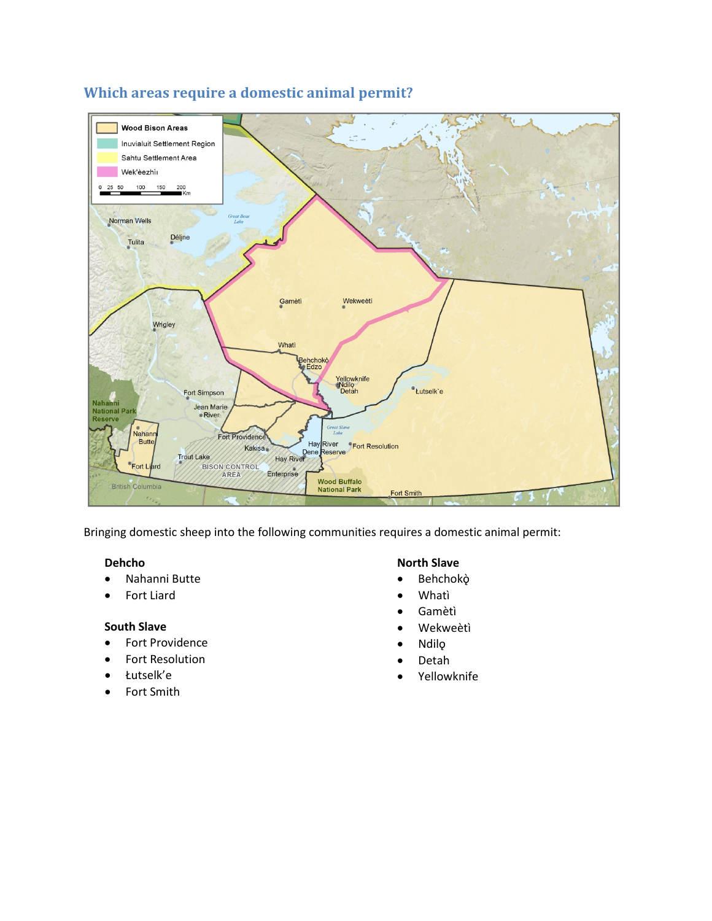

# **Which areas require a domestic animal permit?**

Bringing domestic sheep into the following communities requires a domestic animal permit:

#### **Dehcho**

- Nahanni Butte
- Fort Liard

### **South Slave**

- Fort Providence
- Fort Resolution
- Łutselk'e
- Fort Smith

### **North Slave**

- Behchokǫ̀
- Whatì
- Gamètì
- Wekweètì
- Ndilǫ
- Detah
- Yellowknife